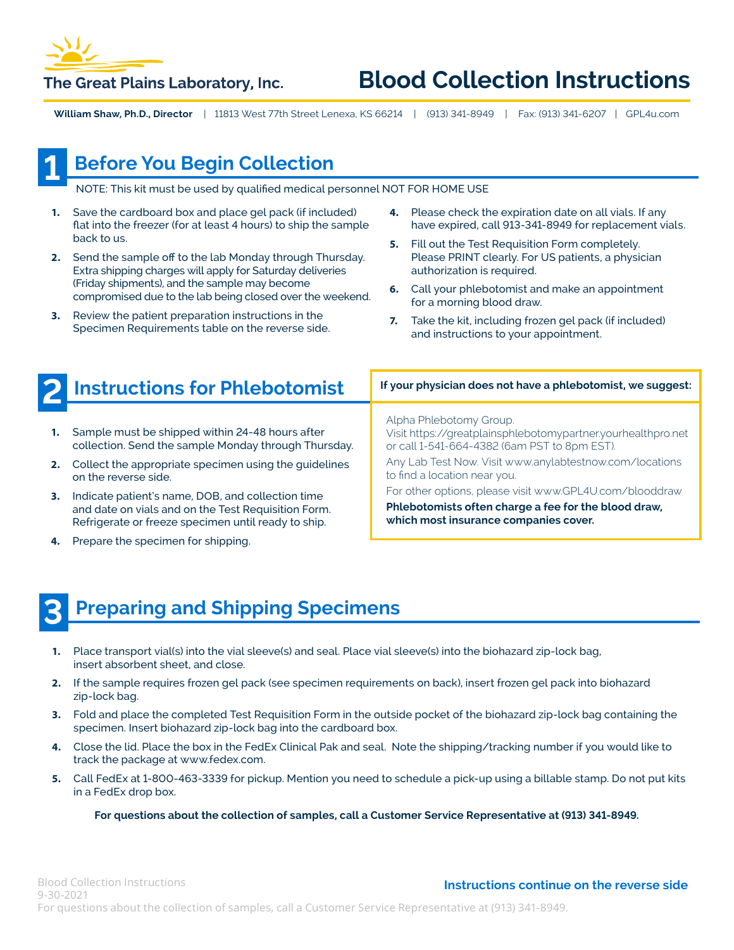

## **Blood Collection Instructions**

**William Shaw, Ph.D., Director** | 11813 West 77th Street Lenexa, KS 66214 | (913) 341-8949 | Fax: (913) 341-6207 | GPL4u.com

# **1**

## **Before You Begin Collection**

NOTE: This kit must be used by qualified medical personnel NOT FOR HOME USE

- **1.** Save the cardboard box and place gel pack (if included) flat into the freezer (for at least 4 hours) to ship the sample back to us.
- **2.** Send the sample off to the lab Monday through Thursday. Extra shipping charges will apply for Saturday deliveries (Friday shipments), and the sample may become compromised due to the lab being closed over the weekend.
- **3.** Review the patient preparation instructions in the Specimen Requirements table on the reverse side.
- **4.** Please check the expiration date on all vials. If any have expired, call 913-341-8949 for replacement vials.
- **5.** Fill out the Test Requisition Form completely. Please PRINT clearly. For US patients, a physician authorization is required.
- **6.** Call your phlebotomist and make an appointment for a morning blood draw.
- **7.** Take the kit, including frozen gel pack (if included) and instructions to your appointment.

|    | Instructions for Phlebotomist                                                                                                                                   | If your physician does not have a phlebotomist, we suggest:                                                                                              |  |  |
|----|-----------------------------------------------------------------------------------------------------------------------------------------------------------------|----------------------------------------------------------------------------------------------------------------------------------------------------------|--|--|
|    | Sample must be shipped within 24-48 hours after<br>collection. Send the sample Monday through Thursday.                                                         | Alpha Phlebotomy Group.<br>Visit https://greatplainsphlebotomypartner.yourhealthpro.net<br>or call 1-541-664-4382 (6am PST to 8pm EST).                  |  |  |
|    | Collect the appropriate specimen using the guidelines<br>on the reverse side.                                                                                   | Any Lab Test Now. Visit www.anylabtestnow.com/locations<br>to find a location near you.                                                                  |  |  |
| 3. | Indicate patient's name, DOB, and collection time<br>and date on vials and on the Test Requisition Form.<br>Refrigerate or freeze specimen until ready to ship. | For other options, please visit www.GPL4U.com/blooddraw<br>Phlebotomists often charge a fee for the blood draw,<br>which most insurance companies cover. |  |  |

**4.** Prepare the specimen for shipping.

### **Preparing and Shipping Specimens 3**

- **1.** Place transport vial(s) into the vial sleeve(s) and seal. Place vial sleeve(s) into the biohazard zip-lock bag, insert absorbent sheet, and close.
- **2.** If the sample requires frozen gel pack (see specimen requirements on back), insert frozen gel pack into biohazard zip-lock bag.
- **3.** Fold and place the completed Test Requisition Form in the outside pocket of the biohazard zip-lock bag containing the specimen. Insert biohazard zip-lock bag into the cardboard box.
- **4.** Close the lid. Place the box in the FedEx Clinical Pak and seal. Note the shipping/tracking number if you would like to track the package at www.fedex.com.
- **5.** Call FedEx at 1-800-463-3339 for pickup. Mention you need to schedule a pick-up using a billable stamp. Do not put kits in a FedEx drop box.

#### **For questions about the collection of samples, call a Customer Service Representative at (913) 341-8949.**